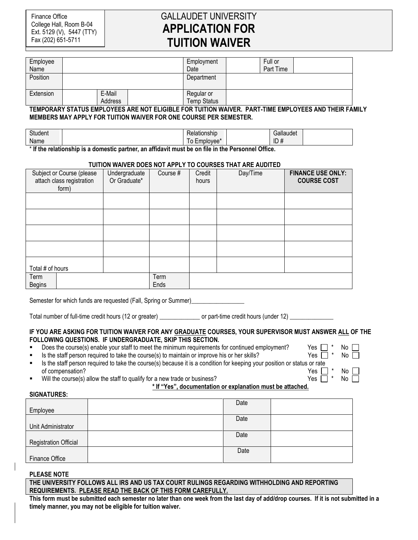# GALLAUDET UNIVERSITY **APPLICATION FOR TUITION WAIVER**

| Employee  |                   | Employment                       | Full or   |  |
|-----------|-------------------|----------------------------------|-----------|--|
| Name      |                   | Date                             | Part Time |  |
| Position  |                   | Department                       |           |  |
| Extension | E-Mail<br>Address | Regular or<br><b>Temp Status</b> |           |  |

## **TEMPORARY STATUS EMPLOYEES ARE NOT ELIGIBLE FOR TUITION WAIVER. PART-TIME EMPLOYEES AND THEIR FAMILY MEMBERS MAY APPLY FOR TUITION WAIVER FOR ONE COURSE PER SEMESTER.**

| $\bigcap$<br>Student |     | .<br>kelationsnip       | uuei      |
|----------------------|-----|-------------------------|-----------|
| Name                 | . . | ^ם מ/ו<br>$\cdots$<br>- | ID<br>,,, |

\* **If the relationship is a domestic partner, an affidavit must be on file in the Personnel Office.** 

## **TUITION WAIVER DOES NOT APPLY TO COURSES THAT ARE AUDITED**

| Subject or Course (please<br>attach class registration<br>form) | Undergraduate<br>Or Graduate* | Course #     | Credit<br>hours | Day/Time | <b>FINANCE USE ONLY:</b><br><b>COURSE COST</b> |
|-----------------------------------------------------------------|-------------------------------|--------------|-----------------|----------|------------------------------------------------|
|                                                                 |                               |              |                 |          |                                                |
|                                                                 |                               |              |                 |          |                                                |
|                                                                 |                               |              |                 |          |                                                |
|                                                                 |                               |              |                 |          |                                                |
| Total # of hours                                                |                               |              |                 |          |                                                |
| Term<br><b>Begins</b>                                           |                               | Term<br>Ends |                 |          |                                                |

Semester for which funds are requested (Fall, Spring or Summer)\_\_\_\_\_\_\_\_\_\_\_\_\_\_\_\_\_

Total number of full-time credit hours (12 or greater) example or part-time credit hours (under 12)

#### **IF YOU ARE ASKING FOR TUITION WAIVER FOR ANY GRADUATE COURSES, YOUR SUPERVISOR MUST ANSWER ALL OF THE FOLLOWING QUESTIONS. IF UNDERGRADUATE, SKIP THIS SECTION.**

- Does the course(s) enable your staff to meet the minimum requirements for continued employment? Yes  $\Box$  \* No  $\Box$
- Is the staff person required to take the course(s) to maintain or improve his or her skills? Yes  $\Box$  \* No  $\Box$
- Is the staff person required to take the course(s) because it is a condition for keeping your position or status or rate<br>by es  $\Box$  \* of compensation?  $Y$ es  $\Box$  \* No  $\Box$
- Will the course(s) allow the staff to qualify for a new trade or business?  $Yes \Box * No \Box$

## **\* If "Yes", documentation or explanation must be attached.**

## **SIGNATURES:**

|                              | Date |  |
|------------------------------|------|--|
| Employee                     |      |  |
|                              | Date |  |
| Unit Administrator           |      |  |
|                              | Date |  |
| <b>Registration Official</b> |      |  |
|                              | Date |  |
| <b>Finance Office</b>        |      |  |

## **PLEASE NOTE**

## **THE UNIVERSITY FOLLOWS ALL IRS AND US TAX COURT RULINGS REGARDING WITHHOLDING AND REPORTING REQUIREMENTS. PLEASE READ THE BACK OF THIS FORM CAREFULLY.**

**This form must be submitted each semester no later than one week from the last day of add/drop courses. If it is not submitted in a timely manner, you may not be eligible for tuition waiver.**